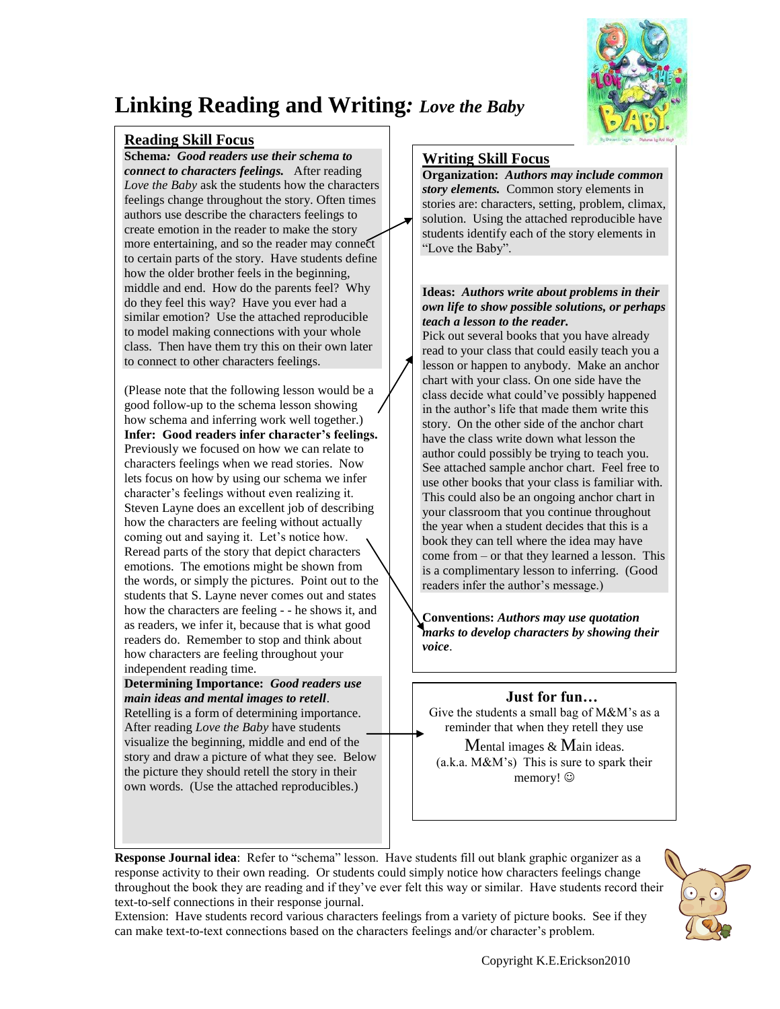

## **Linking Reading and Writing***: Love the Baby*

#### **Reading Skill Focus**

 $\overline{\mathsf{r}}$ 

 $\overline{\phantom{a}}$ 

**Schema***: Good readers use their schema to connect to characters feelings.* After reading *Love the Baby* ask the students how the characters feelings change throughout the story. Often times authors use describe the characters feelings to create emotion in the reader to make the story more entertaining, and so the reader may connect to certain parts of the story. Have students define how the older brother feels in the beginning, middle and end. How do the parents feel? Why do they feel this way? Have you ever had a similar emotion? Use the attached reproducible to model making connections with your whole class. Then have them try this on their own later to connect to other characters feelings.

(Please note that the following lesson would be a good follow-up to the schema lesson showing how schema and inferring work well together.) **Infer: Good readers infer character's feelings.** Previously we focused on how we can relate to characters feelings when we read stories. Now lets focus on how by using our schema we infer character's feelings without even realizing it. Steven Layne does an excellent job of describing how the characters are feeling without actually coming out and saying it. Let's notice how. Reread parts of the story that depict characters emotions. The emotions might be shown from the words, or simply the pictures. Point out to the students that S. Layne never comes out and states how the characters are feeling - - he shows it, and as readers, we infer it, because that is what good readers do. Remember to stop and think about how characters are feeling throughout your independent reading time.

**Determining Importance:** *Good readers use main ideas and mental images to retell*.

Retelling is a form of determining importance. After reading *Love the Baby* have students visualize the beginning, middle and end of the story and draw a picture of what they see. Below the picture they should retell the story in their own words. (Use the attached reproducibles.)

#### **Writing Skill Focus**

**Organization:** *Authors may include common story elements.* Common story elements in stories are: characters, setting, problem, climax, solution. Using the attached reproducible have students identify each of the story elements in "Love the Baby".

#### **Ideas:** *Authors write about problems in their own life to show possible soluti[ons, or perha](http://www.amazon.com/Scaredy-Squirrel-Melanie-Watt/dp/1554530237/ref=sr_1_3?ie=UTF8&s=books&qid=1245699758&sr=1-3)ps teach a lesson to the reader.*

Pick out several books that you have already read to your class that could easily teach you a lesson or happen to anybody. Make an anchor chart with your class. On one side have the class decide what could've possibly happened in the author's life that made them write this story. On the other side of the anchor chart have the class write down what lesson the author could possibly be trying to teach you. See attached sample anchor chart. Feel free to use other books that your class is familiar with. This could also be an ongoing anchor chart in your classroom that you continue throughout the year when a student decides that this is a book they can tell where the idea may have come from – or that they learned a lesson. This is a complimentary lesson to inferring. (Good readers infer the author's message.)

**Conventions:** *Authors may use quotation marks to develop characters by showing their voice*.

#### **Just for fun…**

Give the students a small bag of M&M's as a reminder that when they retell they use

Mental images & Main ideas.  $(a.k.a. M&M's)$  This is sure to spark their memory!  $\odot$ 

**Response Journal idea**: Refer to "schema" lesson. Have students fill out blank graphic organizer as a response activity to their own reading. Or students could simply notice how characters feelings change throughout the book they are reading and if they've ever felt this way or similar. Have students record their text-to-self connections in their response journal.



Extension: Have students record various characters feelings from a variety of picture books. See if they can make text-to-text connections based on the characters feelings and/or character's problem.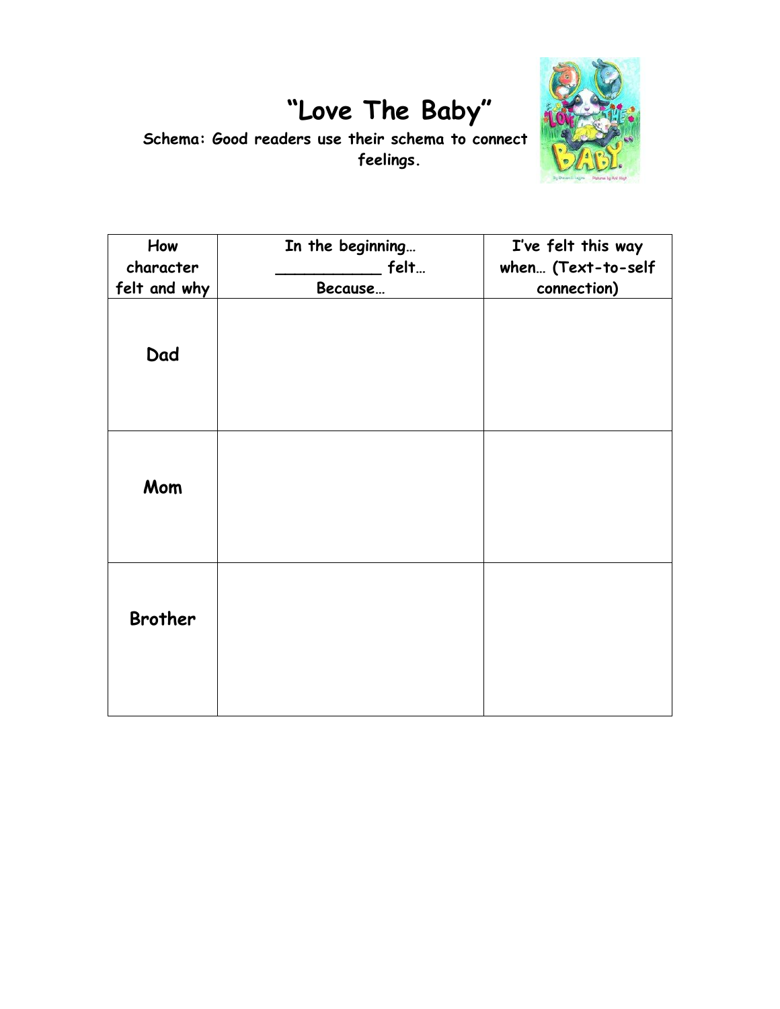# **"Love The Baby"**



Schema: Good readers use their schema to connect **feelings.**

| How<br>character<br>felt and why | In the beginning<br>felt<br>Because | I've felt this way<br>when (Text-to-self<br>connection) |
|----------------------------------|-------------------------------------|---------------------------------------------------------|
| Dad                              |                                     |                                                         |
| Mom                              |                                     |                                                         |
| <b>Brother</b>                   |                                     |                                                         |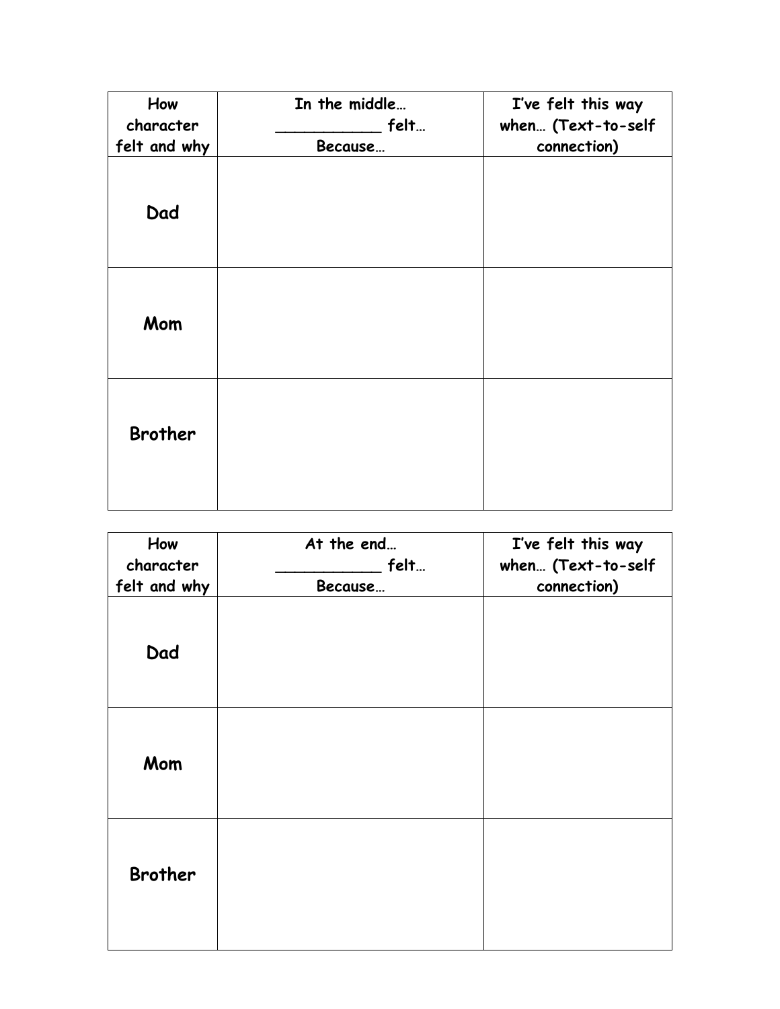| How<br>character | In the middle<br>felt | I've felt this way<br>when (Text-to-self |
|------------------|-----------------------|------------------------------------------|
| felt and why     | Because               | connection)                              |
| Dad              |                       |                                          |
| Mom              |                       |                                          |
| <b>Brother</b>   |                       |                                          |

| How<br>character | At the end<br>felt | I've felt this way<br>when (Text-to-self |
|------------------|--------------------|------------------------------------------|
| felt and why     | Because            | connection)                              |
| Dad              |                    |                                          |
| Mom              |                    |                                          |
| <b>Brother</b>   |                    |                                          |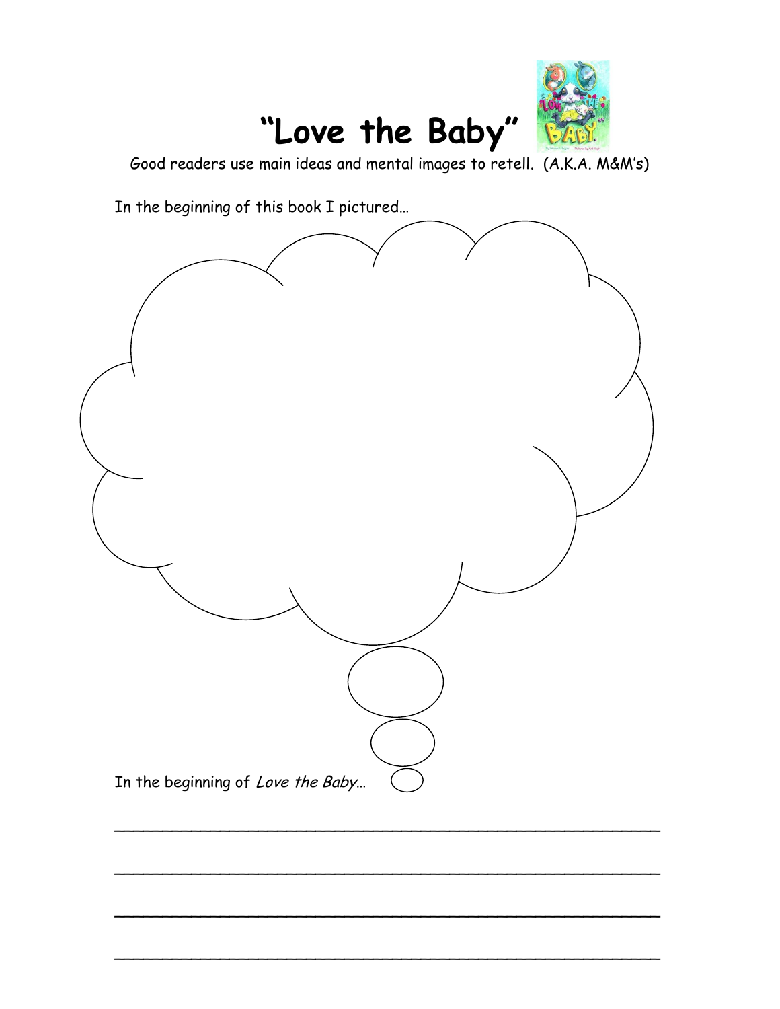

Good readers use main ideas and mental images to retell. (A.K.A. M&M's)

In the beginning of this book I pictured…



\_\_\_\_\_\_\_\_\_\_\_\_\_\_\_\_\_\_\_\_\_\_\_\_\_\_\_\_\_\_\_\_\_\_\_\_\_\_\_\_\_\_\_\_\_\_\_\_\_\_\_\_\_\_\_\_\_

\_\_\_\_\_\_\_\_\_\_\_\_\_\_\_\_\_\_\_\_\_\_\_\_\_\_\_\_\_\_\_\_\_\_\_\_\_\_\_\_\_\_\_\_\_\_\_\_\_\_\_\_\_\_\_\_\_

\_\_\_\_\_\_\_\_\_\_\_\_\_\_\_\_\_\_\_\_\_\_\_\_\_\_\_\_\_\_\_\_\_\_\_\_\_\_\_\_\_\_\_\_\_\_\_\_\_\_\_\_\_\_\_\_\_

\_\_\_\_\_\_\_\_\_\_\_\_\_\_\_\_\_\_\_\_\_\_\_\_\_\_\_\_\_\_\_\_\_\_\_\_\_\_\_\_\_\_\_\_\_\_\_\_\_\_\_\_\_\_\_\_\_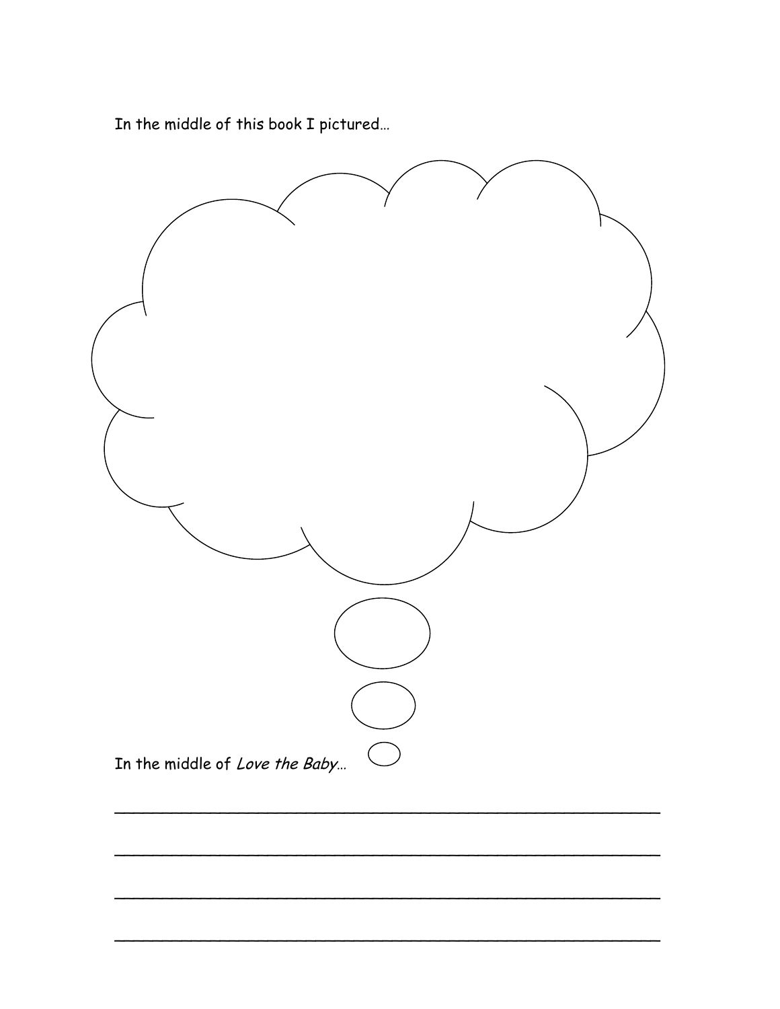In the middle of this book I pictured...

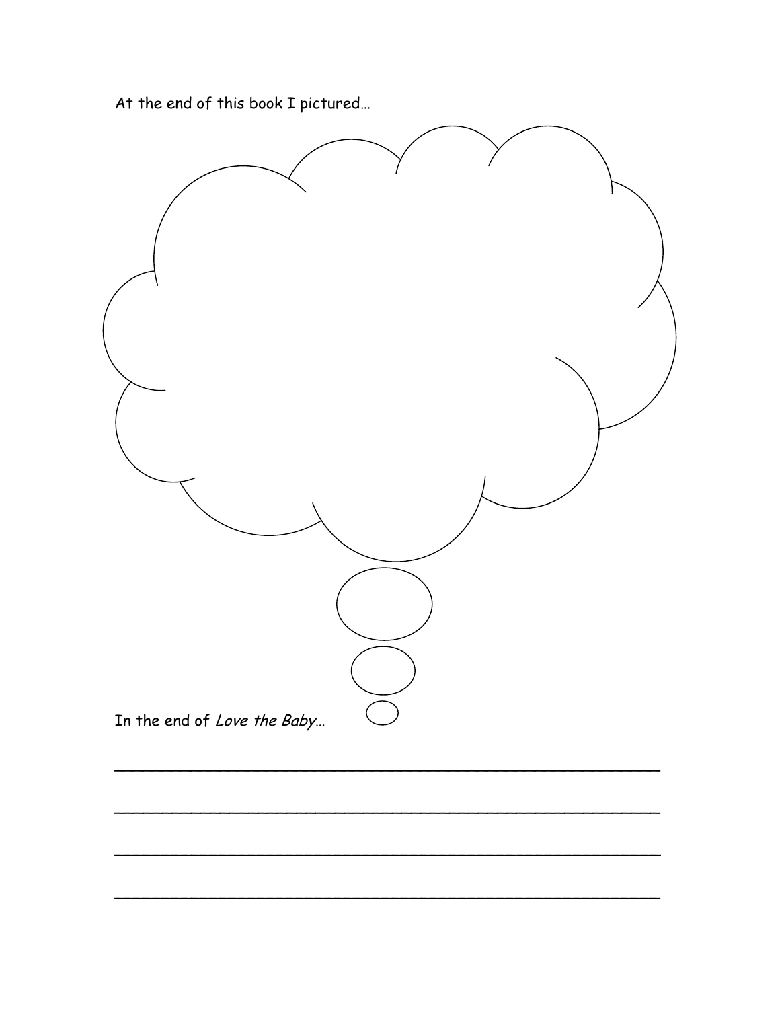At the end of this book I pictured...

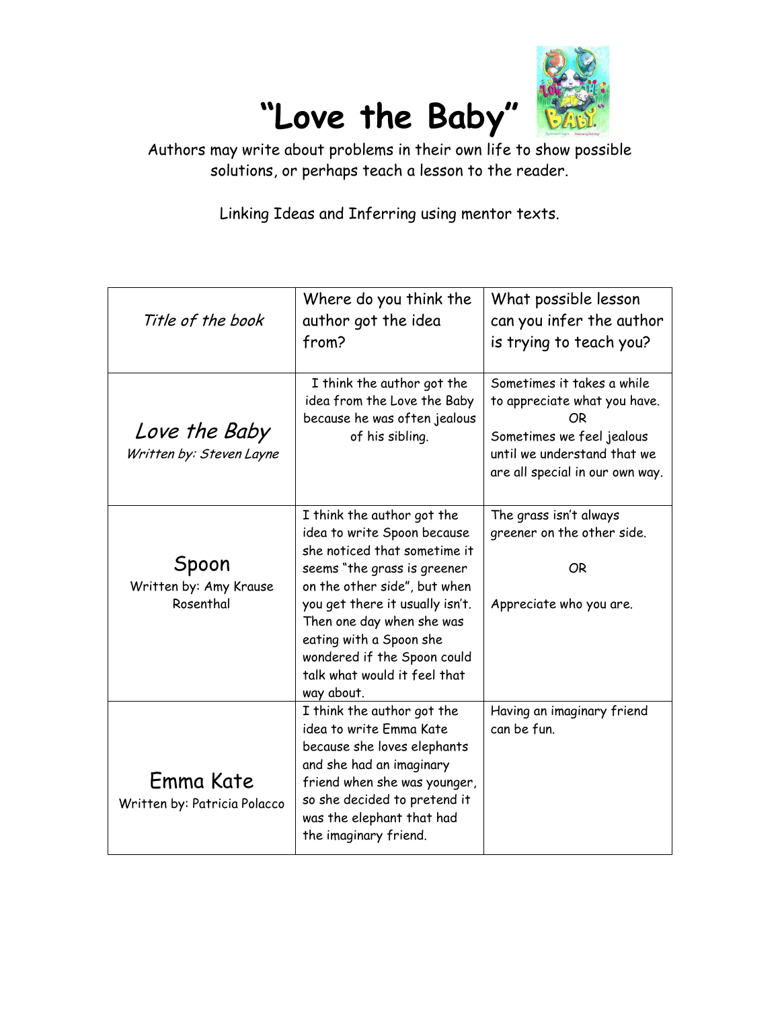

Authors may write about problems in their own life to show possible solutions, or perhaps teach a lesson to the reader.

Linking Ideas and Inferring using mentor texts.

| Title of the book                            | Where do you think the<br>author got the idea<br>from?                                                                                                                                                                                                                                                                           | What possible lesson<br>can you infer the author<br>is trying to teach you?                                                                                     |
|----------------------------------------------|----------------------------------------------------------------------------------------------------------------------------------------------------------------------------------------------------------------------------------------------------------------------------------------------------------------------------------|-----------------------------------------------------------------------------------------------------------------------------------------------------------------|
| Love the Baby<br>Written by: Steven Layne    | I think the author got the<br>idea from the Love the Baby<br>because he was often jealous<br>of his sibling.                                                                                                                                                                                                                     | Sometimes it takes a while<br>to appreciate what you have.<br>ΟR<br>Sometimes we feel jealous<br>until we understand that we<br>are all special in our own way. |
| Spoon<br>Written by: Amy Krause<br>Rosenthal | I think the author got the<br>idea to write Spoon because<br>she noticed that sometime it<br>seems "the grass is greener<br>on the other side", but when<br>you get there it usually isn't.<br>Then one day when she was<br>eating with a Spoon she<br>wondered if the Spoon could<br>talk what would it feel that<br>way about. | The grass isn't always<br>greener on the other side.<br>OR<br>Appreciate who you are.                                                                           |
| Emma Kate<br>Written by: Patricia Polacco    | I think the author got the<br>idea to write Emma Kate<br>because she loves elephants<br>and she had an imaginary<br>friend when she was younger,<br>so she decided to pretend it<br>was the elephant that had<br>the imaginary friend.                                                                                           | Having an imaginary friend<br>can be fun.                                                                                                                       |